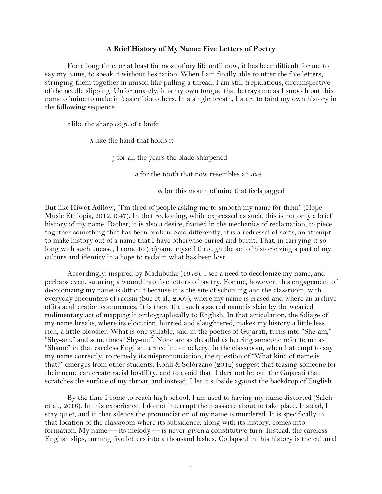## **A Brief History of My Name: Five Letters of Poetry**

For a long time, or at least for most of my life until now, it has been difficult for me to say my name, to speak it without hesitation. When I am finally able to utter the five letters, stringing them together in unison like pulling a thread, I am still trepidatious, circumspective of the needle slipping. Unfortunately, it is my own tongue that betrays me as I smooth out this name of mine to make it "easier" for others. In a single breath, I start to taint my own history in the following sequence:

*s* like the sharp edge of a knife

*h* like the hand that holds it

*y* for all the years the blade sharpened

*a* for the tooth that now resembles an axe

*m* for this mouth of mine that feels jagged

But like Hiwot Adilow, "I'm tired of people asking me to smooth my name for them" (Hope Music Ethiopia, 2012, 0:47). In that reckoning, while expressed as such, this is not only a brief history of my name. Rather, it is also a desire, framed in the mechanics of reclamation, to piece together something that has been broken. Said differently, it is a redressal of sorts, an attempt to make history out of a name that I have otherwise buried and burnt. That, in carrying it so long with such unease, I come to (re)name myself through the act of historicizing a part of my culture and identity in a hope to reclaim what has been lost.

Accordingly, inspired by Madubuike (1976), I see a need to decolonize my name, and perhaps even, suturing a wound into five letters of poetry. For me, however, this engagement of decolonizing my name is difficult because it is the site of schooling and the classroom, with everyday encounters of racism (Sue et al., 2007), where my name is erased and where an archive of its adulteration commences. It is there that such a sacred name is slain by the wearied rudimentary act of mapping it orthographically to English. In that articulation, the foliage of my name breaks, where its elocution, hurried and slaughtered, makes my history a little less rich, a little bloodier. What is one syllable, said in the poetics of Gujarati, turns into "She-am," "Shy-am," and sometimes "Shy-um". None are as dreadful as hearing someone refer to me as "Shame" in that careless English turned into mockery. In the classroom, when I attempt to say my name correctly, to remedy its mispronunciation, the question of "What kind of name is that?" emerges from other students. Kohli & Solórzano (2012) suggest that teasing someone for their name can create racial hostility, and to avoid that, I dare not let out the Gujarati that scratches the surface of my throat, and instead, I let it subside against the backdrop of English.

By the time I come to reach high school, I am used to having my name distorted (Saleh et al., 2018). In this experience, I do not interrupt the massacre about to take place. Instead, I stay quiet, and in that silence the pronunciation of my name is murdered. It is specifically in that location of the classroom where its subsidence, along with its history, comes into formation. My name — its melody — is never given a constitutive turn. Instead, the careless English slips, turning five letters into a thousand lashes. Collapsed in this history is the cultural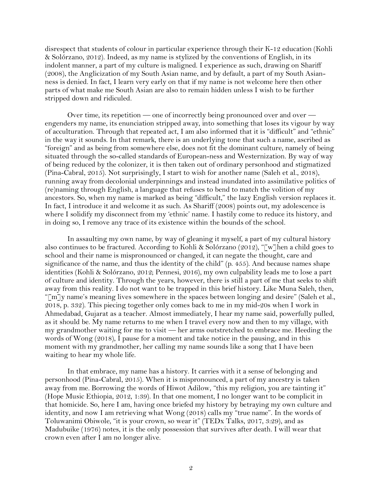disrespect that students of colour in particular experience through their K-12 education (Kohli & Solórzano, 2012). Indeed, as my name is stylized by the conventions of English, in its indolent manner, a part of my culture is maligned. I experience as such, drawing on Shariff (2008), the Anglicization of my South Asian name, and by default, a part of my South Asianness is denied. In fact, I learn very early on that if my name is not welcome here then other parts of what make me South Asian are also to remain hidden unless I wish to be further stripped down and ridiculed.

Over time, its repetition — one of incorrectly being pronounced over and over engenders my name, its enunciation stripped away, into something that loses its vigour by way of acculturation. Through that repeated act, I am also informed that it is "difficult" and "ethnic" in the way it sounds. In that remark, there is an underlying tone that such a name, ascribed as "foreign" and as being from somewhere else, does not fit the dominant culture, namely of being situated through the so-called standards of European-ness and Westernization. By way of way of being reduced by the colonizer, it is then taken out of ordinary personhood and stigmatized (Pina-Cabral, 2015). Not surprisingly, I start to wish for another name (Saleh et al., 2018), running away from decolonial underpinnings and instead inundated into assimilative politics of (re)naming through English, a language that refuses to bend to match the volition of my ancestors. So, when my name is marked as being "difficult," the lazy English version replaces it. In fact, I introduce it and welcome it as such. As Shariff (2008) points out, my adolescence is where I solidify my disconnect from my 'ethnic' name. I hastily come to reduce its history, and in doing so, I remove any trace of its existence within the bounds of the school.

In assaulting my own name, by way of gleaning it myself, a part of my cultural history also continues to be fractured. According to Kohli & Solórzano (2012), "[w]hen a child goes to school and their name is mispronounced or changed, it can negate the thought, care and significance of the name, and thus the identity of the child" (p. 455). And because names shape identities (Kohli & Solórzano, 2012; Pennesi, 2016), my own culpability leads me to lose a part of culture and identity. Through the years, however, there is still a part of me that seeks to shift away from this reality. I do not want to be trapped in this brief history. Like Muna Saleh, then, "[m]y name's meaning lives somewhere in the spaces between longing and desire" (Saleh et al., 2018, p. 332). This piecing together only comes back to me in my mid-20s when I work in Ahmedabad, Gujarat as a teacher. Almost immediately, I hear my name said, powerfully pulled, as it should be. My name returns to me when I travel every now and then to my village, with my grandmother waiting for me to visit — her arms outstretched to embrace me. Heeding the words of Wong (2018), I pause for a moment and take notice in the pausing, and in this moment with my grandmother, her calling my name sounds like a song that I have been waiting to hear my whole life.

In that embrace, my name has a history. It carries with it a sense of belonging and personhood (Pina-Cabral, 2015). When it is mispronounced, a part of my ancestry is taken away from me. Borrowing the words of Hiwot Adilow, "this my religion, you are tainting it" (Hope Music Ethiopia, 2012, 1:39). In that one moment, I no longer want to be complicit in that homicide. So, here I am, having once briefed my history by betraying my own culture and identity, and now I am retrieving what Wong (2018) calls my "true name". In the words of Toluwanimi Obiwole, "it is your crown, so wear it" (TEDx Talks, 2017, 3:29), and as Madubuike (1976) notes, it is the only possession that survives after death. I will wear that crown even after I am no longer alive.